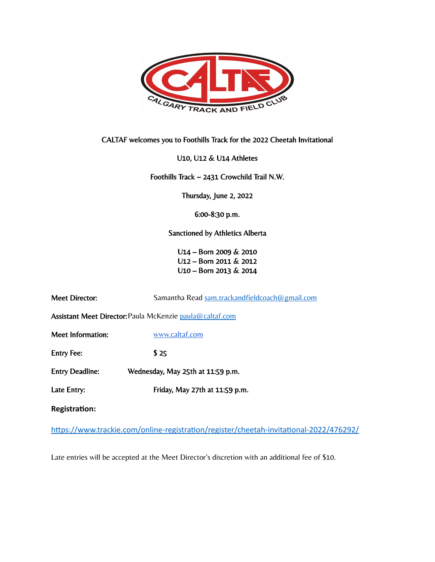

CALTAF welcomes you to Foothills Track for the 2022 Cheetah Invitational

U10, U12 & U14 Athletes

Foothills Track ~ 2431 Crowchild Trail N.W.

Thursday, June 2, 2022

6:00-8:30 p.m.

Sanctioned by Athletics Alberta

U14 – Born 2009 & 2010 U12 – Born 2011 & 2012 U10 – Born 2013 & 2014

| <b>Meet Director:</b>                                           | Samantha Read sam.trackandfieldcoach@gmail.com |  |  |
|-----------------------------------------------------------------|------------------------------------------------|--|--|
| <b>Assistant Meet Director: Paula McKenzie paula@caltaf.com</b> |                                                |  |  |
| Meet Information:                                               | www.caltaf.com                                 |  |  |
| <b>Entry Fee:</b>                                               | \$25                                           |  |  |
| <b>Entry Deadline:</b>                                          | Wednesday, May 25th at 11:59 p.m.              |  |  |
| Late Entry:                                                     | Friday, May 27th at 11:59 p.m.                 |  |  |
| <b>Registration:</b>                                            |                                                |  |  |

https://www.trackie.com/online-registration/register/cheetah-invitational-2022/476292/

Late entries will be accepted at the Meet Director's discretion with an additional fee of \$10.